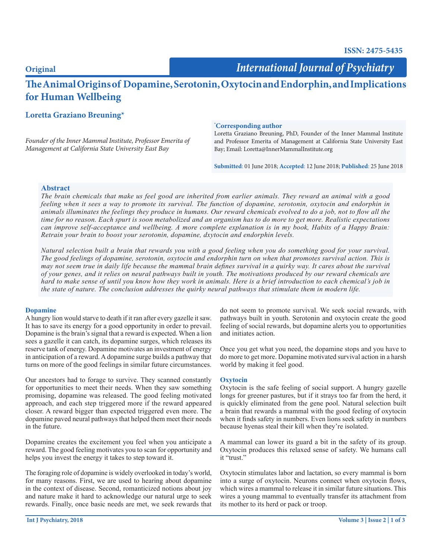# **Original**

*International Journal of Psychiatry*

# **The Animal Origins of Dopamine, Serotonin, Oxytocin and Endorphin, and Implications for Human Wellbeing**

# **Loretta Graziano Breuning\***

*Founder of the Inner Mammal Institute, Professor Emerita of Management at California State University East Bay*

## **\* Corresponding author**

Loretta Graziano Breuning, PhD, Founder of the Inner Mammal Institute and Professor Emerita of Management at California State University East Bay; Email: Loretta@InnerMammalInstitute.org

**Submitted**: 01 June 2018; **Accepted**: 12 June 2018; **Published**: 25 June 2018

### **Abstract**

*The brain chemicals that make us feel good are inherited from earlier animals. They reward an animal with a good feeling when it sees a way to promote its survival. The function of dopamine, serotonin, oxytocin and endorphin in animals illuminates the feelings they produce in humans. Our reward chemicals evolved to do a job, not to flow all the time for no reason. Each spurt is soon metabolized and an organism has to do more to get more. Realistic expectations can improve self-acceptance and wellbeing. A more complete explanation is in my book, Habits of a Happy Brain: Retrain your brain to boost your serotonin, dopamine, dxytocin and endorphin levels.*

*Natural selection built a brain that rewards you with a good feeling when you do something good for your survival. The good feelings of dopamine, serotonin, oxytocin and endorphin turn on when that promotes survival action. This is may not seem true in daily life because the mammal brain defines survival in a quirky way. It cares about the survival of your genes, and it relies on neural pathways built in youth. The motivations produced by our reward chemicals are hard to make sense of until you know how they work in animals. Here is a brief introduction to each chemical's job in the state of nature. The conclusion addresses the quirky neural pathways that stimulate them in modern life.*

#### **Dopamine**

A hungry lion would starve to death if it ran after every gazelle it saw. It has to save its energy for a good opportunity in order to prevail. Dopamine is the brain's signal that a reward is expected. When a lion sees a gazelle it can catch, its dopamine surges, which releases its reserve tank of energy. Dopamine motivates an investment of energy in anticipation of a reward. A dopamine surge builds a pathway that turns on more of the good feelings in similar future circumstances.

Our ancestors had to forage to survive. They scanned constantly for opportunities to meet their needs. When they saw something promising, dopamine was released. The good feeling motivated approach, and each step triggered more if the reward appeared closer. A reward bigger than expected triggered even more. The dopamine paved neural pathways that helped them meet their needs in the future.

Dopamine creates the excitement you feel when you anticipate a reward. The good feeling motivates you to scan for opportunity and helps you invest the energy it takes to step toward it.

The foraging role of dopamine is widely overlooked in today's world, for many reasons. First, we are used to hearing about dopamine in the context of disease. Second, romanticized notions about joy and nature make it hard to acknowledge our natural urge to seek rewards. Finally, once basic needs are met, we seek rewards that

do not seem to promote survival. We seek social rewards, with pathways built in youth. Serotonin and oxytocin create the good feeling of social rewards, but dopamine alerts you to opportunities and initiates action.

Once you get what you need, the dopamine stops and you have to do more to get more. Dopamine motivated survival action in a harsh world by making it feel good.

#### **Oxytocin**

Oxytocin is the safe feeling of social support. A hungry gazelle longs for greener pastures, but if it strays too far from the herd, it is quickly eliminated from the gene pool. Natural selection built a brain that rewards a mammal with the good feeling of oxytocin when it finds safety in numbers. Even lions seek safety in numbers because hyenas steal their kill when they're isolated.

A mammal can lower its guard a bit in the safety of its group. Oxytocin produces this relaxed sense of safety. We humans call it "trust."

Oxytocin stimulates labor and lactation, so every mammal is born into a surge of oxytocin. Neurons connect when oxytocin flows, which wires a mammal to release it in similar future situations. This wires a young mammal to eventually transfer its attachment from its mother to its herd or pack or troop.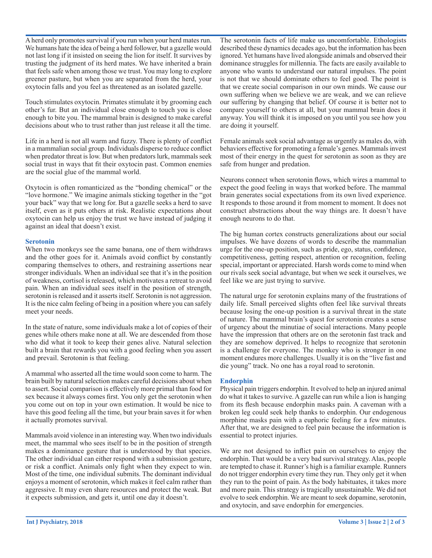A herd only promotes survival if you run when your herd mates run. We humans hate the idea of being a herd follower, but a gazelle would not last long if it insisted on seeing the lion for itself. It survives by trusting the judgment of its herd mates. We have inherited a brain that feels safe when among those we trust. You may long to explore greener pasture, but when you are separated from the herd, your oxytocin falls and you feel as threatened as an isolated gazelle.

Touch stimulates oxytocin. Primates stimulate it by grooming each other's fur. But an individual close enough to touch you is close enough to bite you. The mammal brain is designed to make careful decisions about who to trust rather than just release it all the time.

Life in a herd is not all warm and fuzzy. There is plenty of conflict in a mammalian social group. Individuals disperse to reduce conflict when predator threat is low. But when predators lurk, mammals seek social trust in ways that fit their oxytocin past. Common enemies are the social glue of the mammal world.

Oxytocin is often romanticized as the "bonding chemical" or the "love hormone." We imagine animals sticking together in the "got your back" way that we long for. But a gazelle seeks a herd to save itself, even as it puts others at risk. Realistic expectations about oxytocin can help us enjoy the trust we have instead of judging it against an ideal that doesn't exist.

#### **Serotonin**

When two monkeys see the same banana, one of them withdraws and the other goes for it. Animals avoid conflict by constantly comparing themselves to others, and restraining assertions near stronger individuals. When an individual see that it's in the position of weakness, cortisol is released, which motivates a retreat to avoid pain. When an individual sees itself in the position of strength, serotonin is released and it asserts itself. Serotonin is not aggression. It is the nice calm feeling of being in a position where you can safely meet your needs.

In the state of nature, some individuals make a lot of copies of their genes while others make none at all. We are descended from those who did what it took to keep their genes alive. Natural selection built a brain that rewards you with a good feeling when you assert and prevail. Serotonin is that feeling.

A mammal who asserted all the time would soon come to harm. The brain built by natural selection makes careful decisions about when to assert. Social comparison is effectively more primal than food for sex because it always comes first. You only get the serotonin when you come out on top in your own estimation. It would be nice to have this good feeling all the time, but your brain saves it for when it actually promotes survival.

Mammals avoid violence in an interesting way. When two individuals meet, the mammal who sees itself to be in the position of strength makes a dominance gesture that is understood by that species. The other individual can either respond with a submission gesture, or risk a conflict. Animals only fight when they expect to win. Most of the time, one individual submits. The dominant individual enjoys a moment of serotonin, which makes it feel calm rather than aggressive. It may even share resources and protect the weak. But it expects submission, and gets it, until one day it doesn't.

The serotonin facts of life make us uncomfortable. Ethologists described these dynamics decades ago, but the information has been ignored. Yet humans have lived alongside animals and observed their dominance struggles for millennia. The facts are easily available to anyone who wants to understand our natural impulses. The point is not that we should dominate others to feel good. The point is that we create social comparison in our own minds. We cause our own suffering when we believe we are weak, and we can relieve our suffering by changing that belief. Of course it is better not to compare yourself to others at all, but your mammal brain does it anyway. You will think it is imposed on you until you see how you are doing it yourself.

Female animals seek social advantage as urgently as males do, with behaviors effective for promoting a female's genes. Mammals invest most of their energy in the quest for serotonin as soon as they are safe from hunger and predation.

Neurons connect when serotonin flows, which wires a mammal to expect the good feeling in ways that worked before. The mammal brain generates social expectations from its own lived experience. It responds to those around it from moment to moment. It does not construct abstractions about the way things are. It doesn't have enough neurons to do that.

The big human cortex constructs generalizations about our social impulses. We have dozens of words to describe the mammalian urge for the one-up position, such as pride, ego, status, confidence, competitiveness, getting respect, attention or recognition, feeling special, important or appreciated. Harsh words come to mind when our rivals seek social advantage, but when we seek it ourselves, we feel like we are just trying to survive.

The natural urge for serotonin explains many of the frustrations of daily life. Small perceived slights often feel like survival threats because losing the one-up position is a survival threat in the state of nature. The mammal brain's quest for serotonin creates a sense of urgency about the minutiae of social interactions. Many people have the impression that others are on the serotonin fast track and they are somehow deprived. It helps to recognize that serotonin is a challenge for everyone. The monkey who is stronger in one moment endures more challenges. Usually it is on the "live fast and die young" track. No one has a royal road to serotonin.

# **Endorphin**

Physical pain triggers endorphin. It evolved to help an injured animal do what it takes to survive. A gazelle can run while a lion is hanging from its flesh because endorphin masks pain. A caveman with a broken leg could seek help thanks to endorphin. Our endogenous morphine masks pain with a euphoric feeling for a few minutes. After that, we are designed to feel pain because the information is essential to protect injuries.

We are not designed to inflict pain on ourselves to enjoy the endorphin. That would be a very bad survival strategy. Alas, people are tempted to chase it. Runner's high is a familiar example. Runners do not trigger endorphin every time they run. They only get it when they run to the point of pain. As the body habituates, it takes more and more pain. This strategy is tragically unsustainable. We did not evolve to seek endorphin. We are meant to seek dopamine, serotonin, and oxytocin, and save endorphin for emergencies.